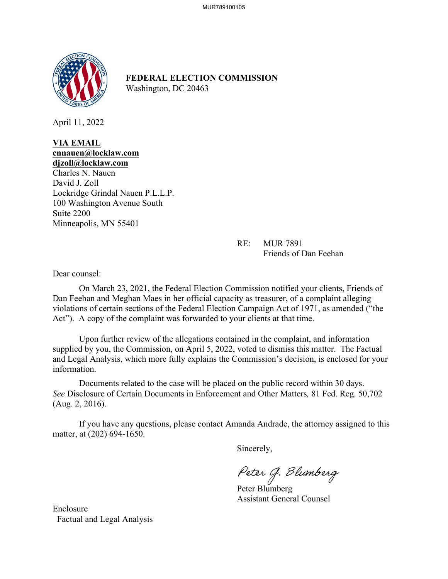

**FEDERAL ELECTION COMMISSION** Washington, DC 20463

April 11, 2022

#### **VIA EMAIL cnnauen@locklaw.com djzoll@locklaw.com**

Charles N. Nauen David J. Zoll Lockridge Grindal Nauen P.L.L.P. 100 Washington Avenue South Suite 2200 Minneapolis, MN 55401

> RE: MUR 7891 Friends of Dan Feehan

Dear counsel:

On March 23, 2021, the Federal Election Commission notified your clients, Friends of Dan Feehan and Meghan Maes in her official capacity as treasurer, of a complaint alleging violations of certain sections of the Federal Election Campaign Act of 1971, as amended ("the Act"). A copy of the complaint was forwarded to your clients at that time.

 Upon further review of the allegations contained in the complaint, and information supplied by you, the Commission, on April 5, 2022, voted to dismiss this matter. The Factual and Legal Analysis, which more fully explains the Commission's decision, is enclosed for your information.

Documents related to the case will be placed on the public record within 30 days. *See* Disclosure of Certain Documents in Enforcement and Other Matters*,* 81 Fed. Reg. 50,702 (Aug. 2, 2016).

If you have any questions, please contact Amanda Andrade, the attorney assigned to this matter, at (202) 694-1650.

Sincerely,

Peter G. Blumberg

Peter Blumberg Assistant General Counsel

Enclosure Factual and Legal Analysis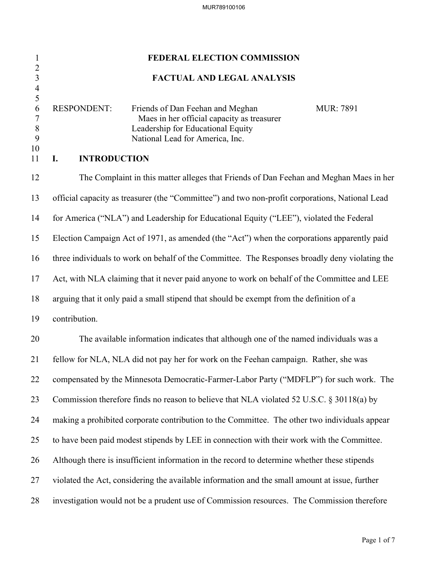# 1 **FEDERAL ELECTION COMMISSION** 2 3 **FACTUAL AND LEGAL ANALYSIS** 4  $\frac{5}{6}$ RESPONDENT: Friends of Dan Feehan and Meghan MUR: 7891 7 Maes in her official capacity as treasurer 8 Leadership for Educational Equity 9 National Lead for America, Inc. 10 11 **I. INTRODUCTION** 12 The Complaint in this matter alleges that Friends of Dan Feehan and Meghan Maes in her 13 official capacity as treasurer (the "Committee") and two non-profit corporations, National Lead 14 for America ("NLA") and Leadership for Educational Equity ("LEE"), violated the Federal 15 Election Campaign Act of 1971, as amended (the "Act") when the corporations apparently paid 16 three individuals to work on behalf of the Committee. The Responses broadly deny violating the 17 Act, with NLA claiming that it never paid anyone to work on behalf of the Committee and LEE 18 arguing that it only paid a small stipend that should be exempt from the definition of a 19 contribution. 20 The available information indicates that although one of the named individuals was a 21 fellow for NLA, NLA did not pay her for work on the Feehan campaign. Rather, she was 22 compensated by the Minnesota Democratic-Farmer-Labor Party ("MDFLP") for such work. The 23 Commission therefore finds no reason to believe that NLA violated 52 U.S.C. § 30118(a) by 24 making a prohibited corporate contribution to the Committee. The other two individuals appear 25 to have been paid modest stipends by LEE in connection with their work with the Committee. 26 Although there is insufficient information in the record to determine whether these stipends 27 violated the Act, considering the available information and the small amount at issue, further 28 investigation would not be a prudent use of Commission resources. The Commission therefore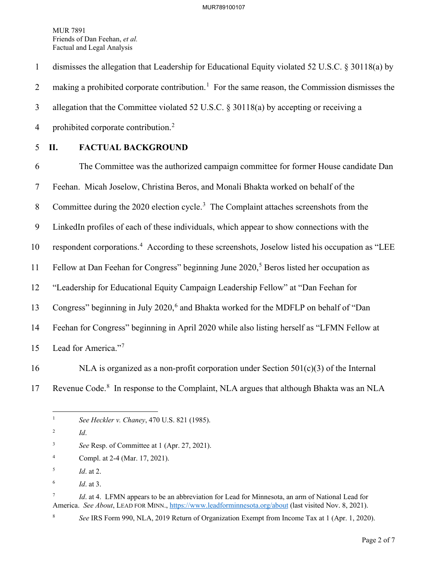1 dismisses the allegation that Leadership for Educational Equity violated 52 U.S.C. § 30118(a) by 2 making a prohibited corporate contribution.<sup>[1](#page-2-0)</sup> For the same reason, the Commission dismisses the 3 allegation that the Committee violated 52 U.S.C. § 30118(a) by accepting or receiving a 4 prohibited corporate contribution.<sup>[2](#page-2-1)</sup>

## 5 **II. FACTUAL BACKGROUND**

6 The Committee was the authorized campaign committee for former House candidate Dan 7 Feehan. Micah Joselow, Christina Beros, and Monali Bhakta worked on behalf of the 8 Committee during the 2020 election cycle.<sup>[3](#page-2-2)</sup> The Complaint attaches screenshots from the 9 LinkedIn profiles of each of these individuals, which appear to show connections with the 10 respondent corporations.<sup>[4](#page-2-3)</sup> According to these screenshots, Joselow listed his occupation as "LEE 11 Fellow at Dan Feehan for Congress" beginning June  $2020$ ,<sup>[5](#page-2-4)</sup> Beros listed her occupation as 12 "Leadership for Educational Equity Campaign Leadership Fellow" at "Dan Feehan for 13 Congress" beginning in July 2020,<sup>[6](#page-2-5)</sup> and Bhakta worked for the MDFLP on behalf of "Dan 14 Feehan for Congress" beginning in April 2020 while also listing herself as "LFMN Fellow at 15 Lead for America."<sup>[7](#page-2-6)</sup>

- 16 NLA is organized as a non-profit corporation under Section  $501(c)(3)$  of the Internal
- 

<span id="page-2-0"></span>17 Revenue Code.<sup>[8](#page-2-7)</sup> In response to the Complaint, NLA argues that although Bhakta was an NLA

<span id="page-2-3"></span>4 Compl. at 2-4 (Mar. 17, 2021).

6 *Id*. at 3.

<span id="page-2-7"></span>8

<span id="page-2-6"></span><span id="page-2-5"></span>7 *Id*. at 4. LFMN appears to be an abbreviation for Lead for Minnesota, an arm of National Lead for America. *See About*, LEAD FOR MINN.,<https://www.leadforminnesota.org/about> (last visited Nov. 8, 2021).

*See* IRS Form 990, NLA, 2019 Return of Organization Exempt from Income Tax at 1 (Apr. 1, 2020).

<sup>1</sup> *See Heckler v. Chaney*, 470 U.S. 821 (1985).

<span id="page-2-1"></span><sup>2</sup> *Id*.

<span id="page-2-2"></span><sup>3</sup> *See* Resp. of Committee at 1 (Apr. 27, 2021).

<span id="page-2-4"></span><sup>5</sup> *Id*. at 2.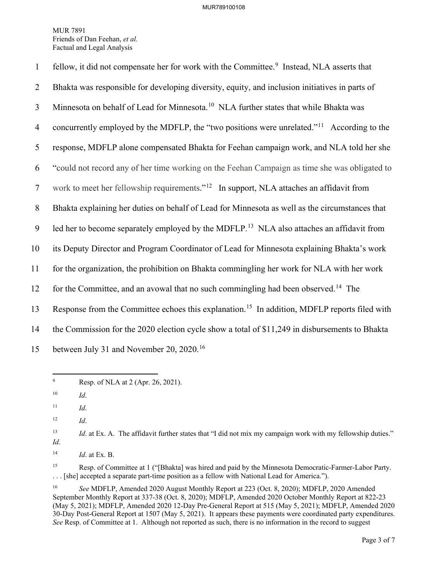| $\mathbf{1}$   | fellow, it did not compensate her for work with the Committee. <sup>9</sup> Instead, NLA asserts that    |
|----------------|----------------------------------------------------------------------------------------------------------|
| $\overline{2}$ | Bhakta was responsible for developing diversity, equity, and inclusion initiatives in parts of           |
| 3              | Minnesota on behalf of Lead for Minnesota. <sup>10</sup> NLA further states that while Bhakta was        |
| $\overline{4}$ | concurrently employed by the MDFLP, the "two positions were unrelated." <sup>11</sup> According to the   |
| 5              | response, MDFLP alone compensated Bhakta for Feehan campaign work, and NLA told her she                  |
| 6              | "could not record any of her time working on the Feehan Campaign as time she was obligated to            |
| $\tau$         | work to meet her fellowship requirements." <sup>12</sup> In support, NLA attaches an affidavit from      |
| 8              | Bhakta explaining her duties on behalf of Lead for Minnesota as well as the circumstances that           |
| 9              | led her to become separately employed by the MDFLP. <sup>13</sup> NLA also attaches an affidavit from    |
| 10             | its Deputy Director and Program Coordinator of Lead for Minnesota explaining Bhakta's work               |
| 11             | for the organization, the prohibition on Bhakta commingling her work for NLA with her work               |
| 12             | for the Committee, and an avowal that no such commingling had been observed. <sup>14</sup> The           |
| 13             | Response from the Committee echoes this explanation. <sup>15</sup> In addition, MDFLP reports filed with |
| 14             | the Commission for the 2020 election cycle show a total of \$11,249 in disbursements to Bhakta           |
| 15             | between July 31 and November 20, 2020. <sup>16</sup>                                                     |

<span id="page-3-0"></span><sup>9</sup> Resp. of NLA at 2 (Apr. 26, 2021).

<span id="page-3-6"></span><sup>15</sup> Resp. of Committee at 1 ("[Bhakta] was hired and paid by the Minnesota Democratic-Farmer-Labor Party. . . . [she] accepted a separate part-time position as a fellow with National Lead for America.").

<span id="page-3-1"></span><sup>10</sup> *Id*.

<span id="page-3-2"></span> $11$  *Id.* 

<span id="page-3-3"></span><sup>12</sup> *Id*.

<span id="page-3-4"></span><sup>&</sup>lt;sup>13</sup> *Id.* at Ex. A. The affidavit further states that "I did not mix my campaign work with my fellowship duties." *Id*.

<span id="page-3-5"></span><sup>14</sup> *Id*. at Ex. B.

<span id="page-3-7"></span><sup>16</sup> *See* MDFLP, Amended 2020 August Monthly Report at 223 (Oct. 8, 2020); MDFLP, 2020 Amended September Monthly Report at 337-38 (Oct. 8, 2020); MDFLP, Amended 2020 October Monthly Report at 822-23 (May 5, 2021); MDFLP, Amended 2020 12-Day Pre-General Report at 515 (May 5, 2021); MDFLP, Amended 2020 30-Day Post-General Report at 1507 (May 5, 2021). It appears these payments were coordinated party expenditures. *See* Resp. of Committee at 1. Although not reported as such, there is no information in the record to suggest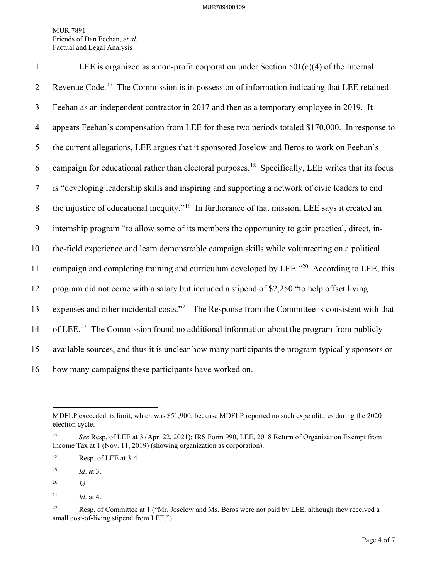| $\mathbf{1}$   | LEE is organized as a non-profit corporation under Section $501(c)(4)$ of the Internal                         |
|----------------|----------------------------------------------------------------------------------------------------------------|
| $\overline{2}$ | Revenue Code. <sup>17</sup> The Commission is in possession of information indicating that LEE retained        |
| 3              | Feehan as an independent contractor in 2017 and then as a temporary employee in 2019. It                       |
| $\overline{4}$ | appears Feehan's compensation from LEE for these two periods totaled \$170,000. In response to                 |
| 5              | the current allegations, LEE argues that it sponsored Joselow and Beros to work on Feehan's                    |
| 6              | campaign for educational rather than electoral purposes. <sup>18</sup> Specifically, LEE writes that its focus |
| $\tau$         | is "developing leadership skills and inspiring and supporting a network of civic leaders to end                |
| 8              | the injustice of educational inequity." <sup>19</sup> In furtherance of that mission, LEE says it created an   |
| 9              | internship program "to allow some of its members the opportunity to gain practical, direct, in-                |
| 10             | the-field experience and learn demonstrable campaign skills while volunteering on a political                  |
| 11             | campaign and completing training and curriculum developed by LEE." <sup>20</sup> According to LEE, this        |
| 12             | program did not come with a salary but included a stipend of \$2,250 "to help offset living                    |
| 13             | expenses and other incidental costs." <sup>21</sup> The Response from the Committee is consistent with that    |
| 14             | of LEE. <sup>22</sup> The Commission found no additional information about the program from publicly           |
| 15             | available sources, and thus it is unclear how many participants the program typically sponsors or              |
| 16             | how many campaigns these participants have worked on.                                                          |

<span id="page-4-3"></span>20 *Id*.

MDFLP exceeded its limit, which was \$51,900, because MDFLP reported no such expenditures during the 2020 election cycle.

<span id="page-4-0"></span><sup>17</sup> *See* Resp. of LEE at 3 (Apr. 22, 2021); IRS Form 990, LEE, 2018 Return of Organization Exempt from Income Tax at 1 (Nov. 11, 2019) (showing organization as corporation).

<span id="page-4-1"></span><sup>18</sup> Resp. of LEE at 3-4

<span id="page-4-2"></span><sup>19</sup> *Id*. at 3.

<span id="page-4-4"></span><sup>&</sup>lt;sup>21</sup> *Id.* at 4.

<span id="page-4-5"></span><sup>&</sup>lt;sup>22</sup> Resp. of Committee at 1 ("Mr. Joselow and Ms. Beros were not paid by LEE, although they received a small cost-of-living stipend from LEE.")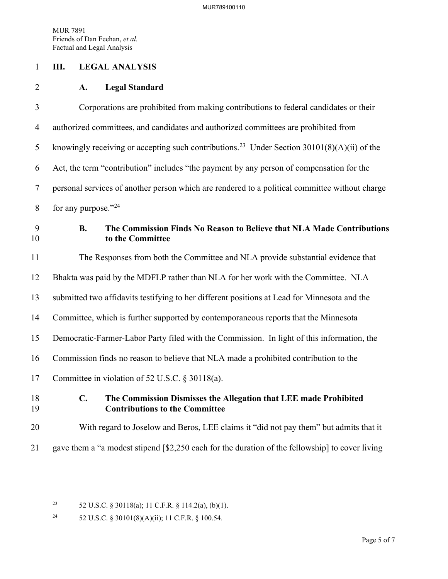#### 1 **III. LEGAL ANALYSIS**

#### 2 **A. Legal Standard**

3 Corporations are prohibited from making contributions to federal candidates or their 4 authorized committees, and candidates and authorized committees are prohibited from 5 knowingly receiving or accepting such contributions.<sup>[23](#page-5-0)</sup> Under Section 30101(8)(A)(ii) of the 6 Act, the term "contribution" includes "the payment by any person of compensation for the 7 personal services of another person which are rendered to a political committee without charge 8 for any purpose." $^{24}$  $^{24}$  $^{24}$ 9 **B. The Commission Finds No Reason to Believe that NLA Made Contributions**  10 **to the Committee**

11 The Responses from both the Committee and NLA provide substantial evidence that 12 Bhakta was paid by the MDFLP rather than NLA for her work with the Committee. NLA 13 submitted two affidavits testifying to her different positions at Lead for Minnesota and the 14 Committee, which is further supported by contemporaneous reports that the Minnesota 15 Democratic-Farmer-Labor Party filed with the Commission. In light of this information, the 16 Commission finds no reason to believe that NLA made a prohibited contribution to the 17 Committee in violation of 52 U.S.C. § 30118(a).

### 18 **C. The Commission Dismisses the Allegation that LEE made Prohibited**  19 **Contributions to the Committee**

# 20 With regard to Joselow and Beros, LEE claims it "did not pay them" but admits that it

21 gave them a "a modest stipend [\$2,250 each for the duration of the fellowship] to cover living

<span id="page-5-0"></span><sup>&</sup>lt;sup>23</sup> 52 U.S.C. § 30118(a); 11 C.F.R. § 114.2(a), (b)(1).

<span id="page-5-1"></span><sup>24 52</sup> U.S.C. § 30101(8)(A)(ii); 11 C.F.R. § 100.54.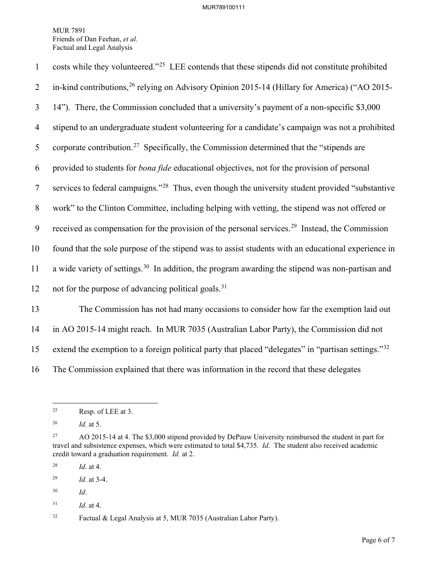| $\mathbf{1}$   | costs while they volunteered." <sup>25</sup> LEE contends that these stipends did not constitute prohibited   |
|----------------|---------------------------------------------------------------------------------------------------------------|
| $\overline{2}$ | in-kind contributions, <sup>26</sup> relying on Advisory Opinion 2015-14 (Hillary for America) ("AO 2015-     |
| 3              | 14"). There, the Commission concluded that a university's payment of a non-specific \$3,000                   |
| 4              | stipend to an undergraduate student volunteering for a candidate's campaign was not a prohibited              |
| 5              | corporate contribution. <sup>27</sup> Specifically, the Commission determined that the "stipends are          |
| 6              | provided to students for <i>bona fide</i> educational objectives, not for the provision of personal           |
| $\overline{7}$ | services to federal campaigns." <sup>28</sup> Thus, even though the university student provided "substantive" |
| $8\phantom{.}$ | work" to the Clinton Committee, including helping with vetting, the stipend was not offered or                |
| 9              | received as compensation for the provision of the personal services. <sup>29</sup> Instead, the Commission    |
| 10             | found that the sole purpose of the stipend was to assist students with an educational experience in           |
| 11             | a wide variety of settings. <sup>30</sup> In addition, the program awarding the stipend was non-partisan and  |
| 12             | not for the purpose of advancing political goals. <sup>31</sup>                                               |
| 13             | The Commission has not had many occasions to consider how far the exemption laid out                          |
| 14             | in AO 2015-14 might reach. In MUR 7035 (Australian Labor Party), the Commission did not                       |

15 extend the exemption to a foreign political party that placed "delegates" in "partisan settings."<sup>[32](#page-6-7)</sup>

16 The Commission explained that there was information in the record that these delegates

<span id="page-6-0"></span> $25$  Resp. of LEE at 3.

<span id="page-6-1"></span><sup>26</sup> *Id.* at 5.

<span id="page-6-2"></span><sup>&</sup>lt;sup>27</sup> AO 2015-14 at 4. The \$3,000 stipend provided by DePauw University reimbursed the student in part for travel and subsistence expenses, which were estimated to total \$4,735. *Id*. The student also received academic credit toward a graduation requirement. *Id.* at 2.

<span id="page-6-3"></span><sup>28</sup> *Id*. at 4.

<span id="page-6-4"></span><sup>29</sup> *Id*. at 3-4.

<span id="page-6-5"></span><sup>30</sup> *Id*.

<span id="page-6-6"></span><sup>31</sup> *Id*. at 4.

<span id="page-6-7"></span><sup>32</sup> Factual & Legal Analysis at 5, MUR 7035 (Australian Labor Party).